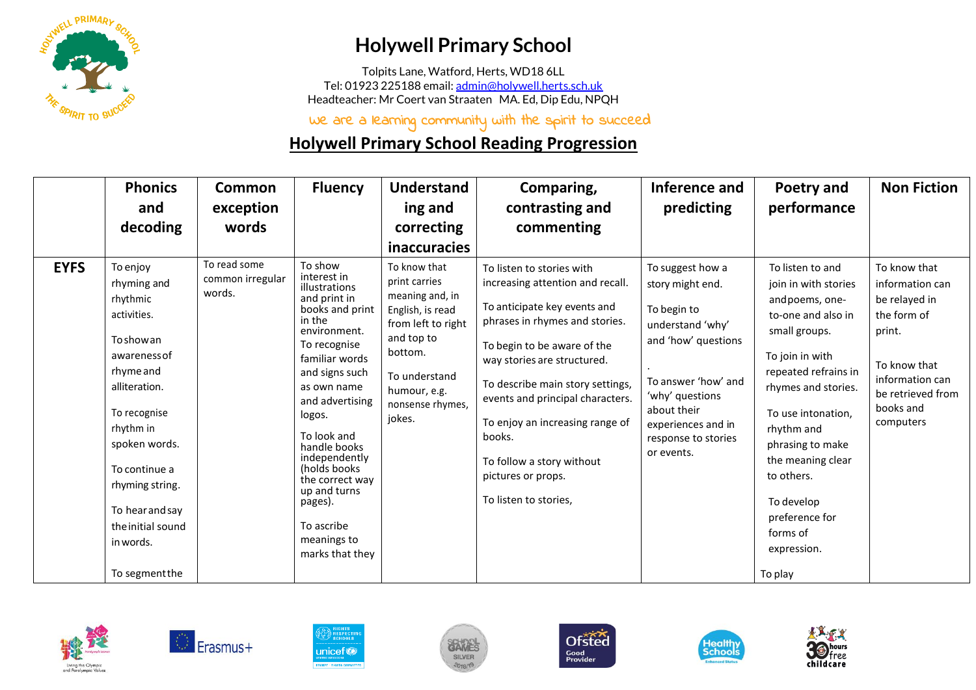

## **Holywell Primary School**

Tolpits Lane, Watford, Herts, WD18 6LL Tel: 01923 225188 email[: admin@holywell.herts.sch.uk](mailto:admin@holywell.herts.sch.uk) Headteacher: Mr Coert van Straaten MA. Ed, Dip Edu, NPQH

We are a learning community with the spirit to succeed

## **Holywell Primary School Reading Progression**

|             | <b>Phonics</b><br>and<br>decoding                                                                                                                                                                                                                                              | <b>Common</b><br>exception<br>words        | <b>Fluency</b>                                                                                                                                                                                                                                                                                                                                                      | Understand<br>ing and<br>correcting<br>inaccuracies                                                                                                                                | Comparing,<br>contrasting and<br>commenting                                                                                                                                                                                                                                                                                                                                                    | Inference and<br>predicting                                                                                                                                                                                        | Poetry and<br>performance                                                                                                                                                                                                                                                                                                             | <b>Non Fiction</b>                                                                                                                                          |
|-------------|--------------------------------------------------------------------------------------------------------------------------------------------------------------------------------------------------------------------------------------------------------------------------------|--------------------------------------------|---------------------------------------------------------------------------------------------------------------------------------------------------------------------------------------------------------------------------------------------------------------------------------------------------------------------------------------------------------------------|------------------------------------------------------------------------------------------------------------------------------------------------------------------------------------|------------------------------------------------------------------------------------------------------------------------------------------------------------------------------------------------------------------------------------------------------------------------------------------------------------------------------------------------------------------------------------------------|--------------------------------------------------------------------------------------------------------------------------------------------------------------------------------------------------------------------|---------------------------------------------------------------------------------------------------------------------------------------------------------------------------------------------------------------------------------------------------------------------------------------------------------------------------------------|-------------------------------------------------------------------------------------------------------------------------------------------------------------|
| <b>EYFS</b> | To enjoy<br>rhyming and<br>rhythmic<br>activities.<br><b>To show an</b><br>awareness of<br>rhyme and<br>alliteration.<br>To recognise<br>rhythm in<br>spoken words.<br>To continue a<br>rhyming string.<br>To hear and say<br>the initial sound<br>in words.<br>To segment the | To read some<br>common irregular<br>words. | To show<br>interest in<br>illustrations<br>and print in<br>books and print<br>in the<br>environment.<br>To recognise<br>familiar words<br>and signs such<br>as own name<br>and advertising<br>logos.<br>To look and<br>handle books<br>independently<br>(holds books)<br>the correct way<br>up and turns<br>pages).<br>To ascribe<br>meanings to<br>marks that they | To know that<br>print carries<br>meaning and, in<br>English, is read<br>from left to right<br>and top to<br>bottom.<br>To understand<br>humour, e.g.<br>nonsense rhymes,<br>iokes. | To listen to stories with<br>increasing attention and recall.<br>To anticipate key events and<br>phrases in rhymes and stories.<br>To begin to be aware of the<br>way stories are structured.<br>To describe main story settings,<br>events and principal characters.<br>To enjoy an increasing range of<br>books.<br>To follow a story without<br>pictures or props.<br>To listen to stories, | To suggest how a<br>story might end.<br>To begin to<br>understand 'why'<br>and 'how' questions<br>To answer 'how' and<br>'why' questions<br>about their<br>experiences and in<br>response to stories<br>or events. | To listen to and<br>join in with stories<br>and poems, one-<br>to-one and also in<br>small groups.<br>To join in with<br>repeated refrains in<br>rhymes and stories.<br>To use intonation,<br>rhythm and<br>phrasing to make<br>the meaning clear<br>to others.<br>To develop<br>preference for<br>forms of<br>expression.<br>To play | To know that<br>information can<br>be relayed in<br>the form of<br>print.<br>To know that<br>information can<br>be retrieved from<br>books and<br>computers |













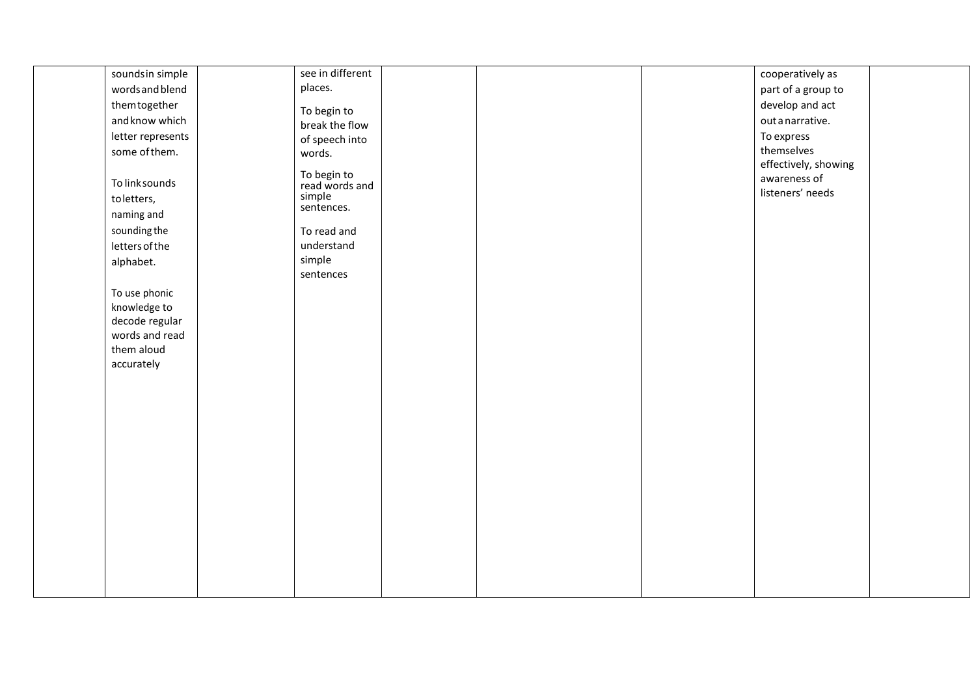| sounds in simple               | see in different              |  | cooperatively as     |  |
|--------------------------------|-------------------------------|--|----------------------|--|
| words and blend                | places.                       |  | part of a group to   |  |
| themtogether                   | To begin to                   |  | develop and act      |  |
| and know which                 | break the flow                |  | out a narrative.     |  |
| letter represents              | of speech into                |  | To express           |  |
| some of them.                  | words.                        |  | themselves           |  |
|                                |                               |  | effectively, showing |  |
| To link sounds                 | To begin to<br>read words and |  | awareness of         |  |
| to letters,                    | simple                        |  | listeners' needs     |  |
| naming and                     | sentences.                    |  |                      |  |
| sounding the                   | To read and                   |  |                      |  |
| letters of the                 | understand                    |  |                      |  |
|                                | simple                        |  |                      |  |
| alphabet.                      | sentences                     |  |                      |  |
|                                |                               |  |                      |  |
| To use phonic                  |                               |  |                      |  |
| knowledge to<br>decode regular |                               |  |                      |  |
| words and read                 |                               |  |                      |  |
| them aloud                     |                               |  |                      |  |
| accurately                     |                               |  |                      |  |
|                                |                               |  |                      |  |
|                                |                               |  |                      |  |
|                                |                               |  |                      |  |
|                                |                               |  |                      |  |
|                                |                               |  |                      |  |
|                                |                               |  |                      |  |
|                                |                               |  |                      |  |
|                                |                               |  |                      |  |
|                                |                               |  |                      |  |
|                                |                               |  |                      |  |
|                                |                               |  |                      |  |
|                                |                               |  |                      |  |
|                                |                               |  |                      |  |
|                                |                               |  |                      |  |
|                                |                               |  |                      |  |
|                                |                               |  |                      |  |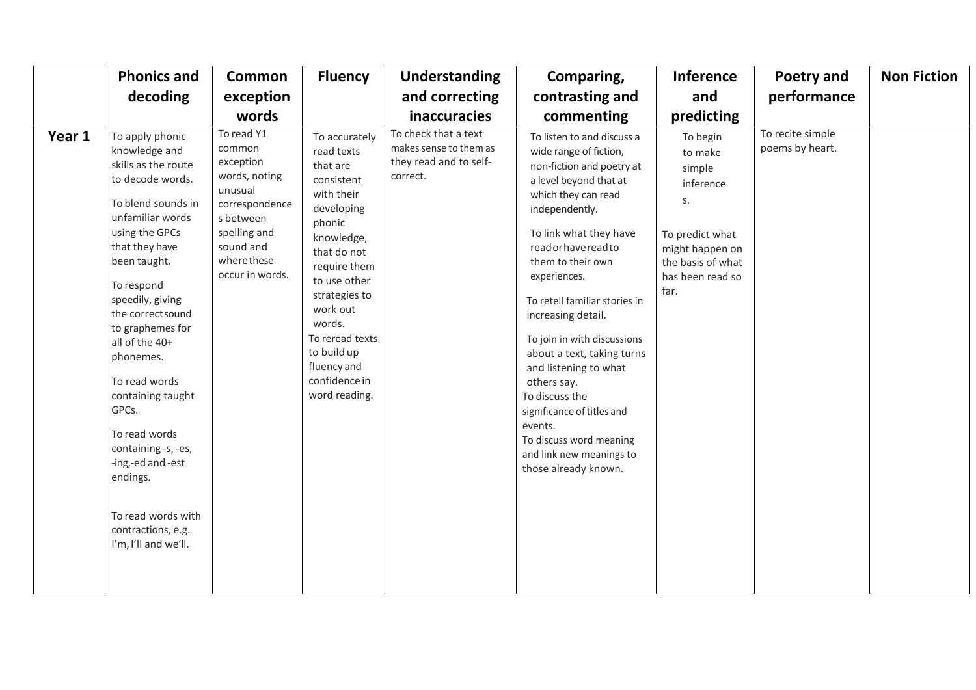|        | <b>Phonics and</b>                                                                                                                                                                                                                                                                                                                                                                                                                                                              | <b>Common</b>                                                                                                                                              | <b>Fluency</b>                                                                                                                                                                                                                                                                     | <b>Understanding</b>                                                                 | Comparing,                                                                                                                                                                                                                                                                                                                                                                                                                                                                                                                                    | <b>Inference</b>                                                                                                                        | Poetry and                          | <b>Non Fiction</b> |
|--------|---------------------------------------------------------------------------------------------------------------------------------------------------------------------------------------------------------------------------------------------------------------------------------------------------------------------------------------------------------------------------------------------------------------------------------------------------------------------------------|------------------------------------------------------------------------------------------------------------------------------------------------------------|------------------------------------------------------------------------------------------------------------------------------------------------------------------------------------------------------------------------------------------------------------------------------------|--------------------------------------------------------------------------------------|-----------------------------------------------------------------------------------------------------------------------------------------------------------------------------------------------------------------------------------------------------------------------------------------------------------------------------------------------------------------------------------------------------------------------------------------------------------------------------------------------------------------------------------------------|-----------------------------------------------------------------------------------------------------------------------------------------|-------------------------------------|--------------------|
|        | decoding                                                                                                                                                                                                                                                                                                                                                                                                                                                                        | exception                                                                                                                                                  |                                                                                                                                                                                                                                                                                    | and correcting                                                                       | contrasting and                                                                                                                                                                                                                                                                                                                                                                                                                                                                                                                               | and                                                                                                                                     | performance                         |                    |
|        |                                                                                                                                                                                                                                                                                                                                                                                                                                                                                 | words                                                                                                                                                      |                                                                                                                                                                                                                                                                                    | <b>inaccuracies</b>                                                                  | commenting                                                                                                                                                                                                                                                                                                                                                                                                                                                                                                                                    | predicting                                                                                                                              |                                     |                    |
| Year 1 | To apply phonic<br>knowledge and<br>skills as the route<br>to decode words.<br>To blend sounds in<br>unfamiliar words<br>using the GPCs<br>that they have<br>been taught.<br>To respond<br>speedily, giving<br>the correct sound<br>to graphemes for<br>all of the 40+<br>phonemes.<br>To read words<br>containing taught<br>GPCs.<br>To read words<br>containing -s, -es,<br>-ing,-ed and -est<br>endings.<br>To read words with<br>contractions, e.g.<br>I'm, I'll and we'll. | To read Y1<br>common<br>exception<br>words, noting<br>unusual<br>correspondence<br>s between<br>spelling and<br>sound and<br>wherethese<br>occur in words. | To accurately<br>read texts<br>that are<br>consistent<br>with their<br>developing<br>phonic<br>knowledge,<br>that do not<br>require them<br>to use other<br>strategies to<br>work out<br>words.<br>To reread texts<br>to build up<br>fluency and<br>confidence in<br>word reading. | To check that a text<br>makes sense to them as<br>they read and to self-<br>correct. | To listen to and discuss a<br>wide range of fiction,<br>non-fiction and poetry at<br>a level beyond that at<br>which they can read<br>independently.<br>To link what they have<br>readorhavereadto<br>them to their own<br>experiences.<br>To retell familiar stories in<br>increasing detail.<br>To join in with discussions<br>about a text, taking turns<br>and listening to what<br>others say.<br>To discuss the<br>significance of titles and<br>events.<br>To discuss word meaning<br>and link new meanings to<br>those already known. | To begin<br>to make<br>simple<br>inference<br>S.<br>To predict what<br>might happen on<br>the basis of what<br>has been read so<br>far. | To recite simple<br>poems by heart. |                    |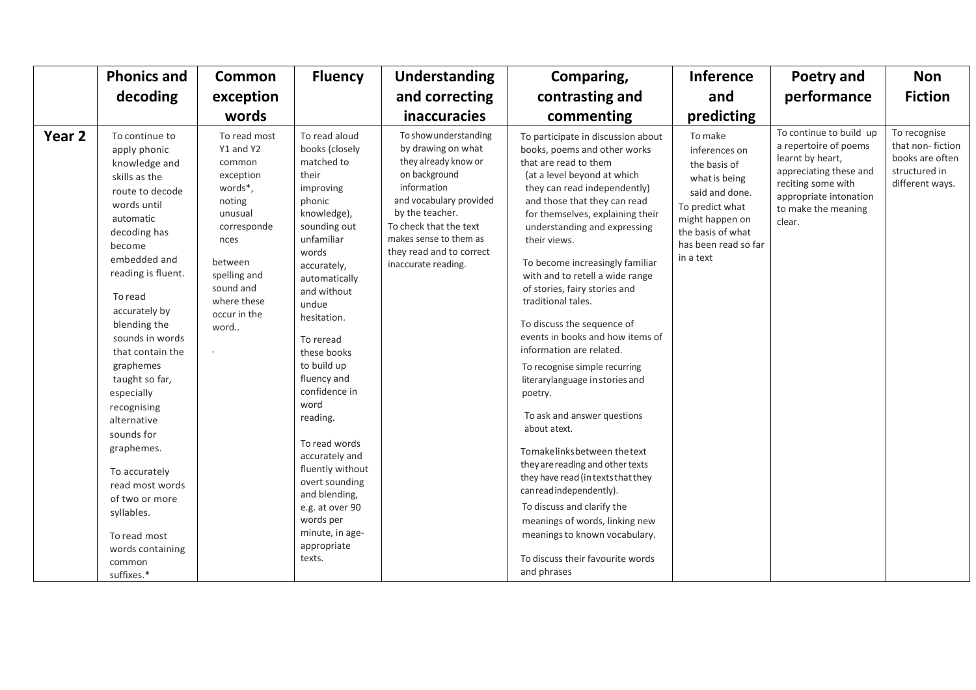|        | <b>Phonics and</b>                                                                                                                                                                                                                                                                                                                                                                                                                                                                                        | <b>Common</b>                                                                                                                                                                          | <b>Fluency</b>                                                                                                                                                                                                                                                                                                                                                                                                                                                                  | Understanding                                                                                                                                                                                                                                            | Comparing,                                                                                                                                                                                                                                                                                                                                                                                                                                                                                                                                                                                                                                                                                                                                                                                                                                                                                                                       | <b>Inference</b>                                                                                                                                                            | <b>Poetry and</b>                                                                                                                                                               | <b>Non</b>                                                                              |
|--------|-----------------------------------------------------------------------------------------------------------------------------------------------------------------------------------------------------------------------------------------------------------------------------------------------------------------------------------------------------------------------------------------------------------------------------------------------------------------------------------------------------------|----------------------------------------------------------------------------------------------------------------------------------------------------------------------------------------|---------------------------------------------------------------------------------------------------------------------------------------------------------------------------------------------------------------------------------------------------------------------------------------------------------------------------------------------------------------------------------------------------------------------------------------------------------------------------------|----------------------------------------------------------------------------------------------------------------------------------------------------------------------------------------------------------------------------------------------------------|----------------------------------------------------------------------------------------------------------------------------------------------------------------------------------------------------------------------------------------------------------------------------------------------------------------------------------------------------------------------------------------------------------------------------------------------------------------------------------------------------------------------------------------------------------------------------------------------------------------------------------------------------------------------------------------------------------------------------------------------------------------------------------------------------------------------------------------------------------------------------------------------------------------------------------|-----------------------------------------------------------------------------------------------------------------------------------------------------------------------------|---------------------------------------------------------------------------------------------------------------------------------------------------------------------------------|-----------------------------------------------------------------------------------------|
|        | decoding                                                                                                                                                                                                                                                                                                                                                                                                                                                                                                  | exception                                                                                                                                                                              |                                                                                                                                                                                                                                                                                                                                                                                                                                                                                 | and correcting                                                                                                                                                                                                                                           | contrasting and                                                                                                                                                                                                                                                                                                                                                                                                                                                                                                                                                                                                                                                                                                                                                                                                                                                                                                                  | and                                                                                                                                                                         | performance                                                                                                                                                                     | <b>Fiction</b>                                                                          |
|        |                                                                                                                                                                                                                                                                                                                                                                                                                                                                                                           | words                                                                                                                                                                                  |                                                                                                                                                                                                                                                                                                                                                                                                                                                                                 | inaccuracies                                                                                                                                                                                                                                             | commenting                                                                                                                                                                                                                                                                                                                                                                                                                                                                                                                                                                                                                                                                                                                                                                                                                                                                                                                       | predicting                                                                                                                                                                  |                                                                                                                                                                                 |                                                                                         |
| Year 2 | To continue to<br>apply phonic<br>knowledge and<br>skills as the<br>route to decode<br>words until<br>automatic<br>decoding has<br>become<br>embedded and<br>reading is fluent.<br>To read<br>accurately by<br>blending the<br>sounds in words<br>that contain the<br>graphemes<br>taught so far,<br>especially<br>recognising<br>alternative<br>sounds for<br>graphemes.<br>To accurately<br>read most words<br>of two or more<br>syllables.<br>To read most<br>words containing<br>common<br>suffixes.* | To read most<br>Y1 and Y2<br>common<br>exception<br>words*,<br>noting<br>unusual<br>corresponde<br>nces<br>between<br>spelling and<br>sound and<br>where these<br>occur in the<br>word | To read aloud<br>books (closely<br>matched to<br>their<br>improving<br>phonic<br>knowledge),<br>sounding out<br>unfamiliar<br>words<br>accurately,<br>automatically<br>and without<br>undue<br>hesitation.<br>To reread<br>these books<br>to build up<br>fluency and<br>confidence in<br>word<br>reading.<br>To read words<br>accurately and<br>fluently without<br>overt sounding<br>and blending,<br>e.g. at over 90<br>words per<br>minute, in age-<br>appropriate<br>texts. | To show understanding<br>by drawing on what<br>they already know or<br>on background<br>information<br>and vocabulary provided<br>by the teacher.<br>To check that the text<br>makes sense to them as<br>they read and to correct<br>inaccurate reading. | To participate in discussion about<br>books, poems and other works<br>that are read to them<br>(at a level beyond at which<br>they can read independently)<br>and those that they can read<br>for themselves, explaining their<br>understanding and expressing<br>their views.<br>To become increasingly familiar<br>with and to retell a wide range<br>of stories, fairy stories and<br>traditional tales.<br>To discuss the sequence of<br>events in books and how items of<br>information are related.<br>To recognise simple recurring<br>literarylanguage in stories and<br>poetry.<br>To ask and answer questions<br>about atext.<br>Tomakelinksbetween the text<br>they are reading and other texts<br>they have read (in texts that they<br>can read independently).<br>To discuss and clarify the<br>meanings of words, linking new<br>meanings to known vocabulary.<br>To discuss their favourite words<br>and phrases | To make<br>inferences on<br>the basis of<br>what is being<br>said and done.<br>To predict what<br>might happen on<br>the basis of what<br>has been read so far<br>in a text | To continue to build up<br>a repertoire of poems<br>learnt by heart,<br>appreciating these and<br>reciting some with<br>appropriate intonation<br>to make the meaning<br>clear. | To recognise<br>that non-fiction<br>books are often<br>structured in<br>different ways. |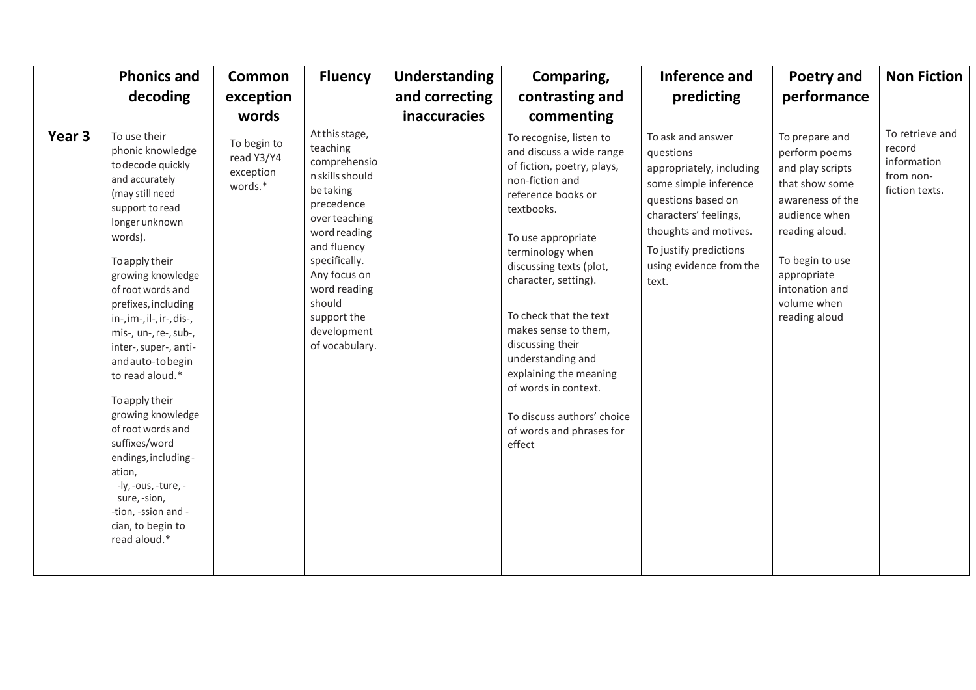|                   | <b>Phonics and</b>                                                                                                                                                                                                                                                                                                                                                                                                                                                                                                                                                    | <b>Common</b>                                     | <b>Fluency</b>                                                                                                                                                                                                                                     | <b>Understanding</b> | Comparing,                                                                                                                                                                                                                                                                                                                                                                                                                                             | Inference and                                                                                                                                                                                                             | Poetry and                                                                                                                                                                                                       | <b>Non Fiction</b>                                                      |
|-------------------|-----------------------------------------------------------------------------------------------------------------------------------------------------------------------------------------------------------------------------------------------------------------------------------------------------------------------------------------------------------------------------------------------------------------------------------------------------------------------------------------------------------------------------------------------------------------------|---------------------------------------------------|----------------------------------------------------------------------------------------------------------------------------------------------------------------------------------------------------------------------------------------------------|----------------------|--------------------------------------------------------------------------------------------------------------------------------------------------------------------------------------------------------------------------------------------------------------------------------------------------------------------------------------------------------------------------------------------------------------------------------------------------------|---------------------------------------------------------------------------------------------------------------------------------------------------------------------------------------------------------------------------|------------------------------------------------------------------------------------------------------------------------------------------------------------------------------------------------------------------|-------------------------------------------------------------------------|
|                   | decoding                                                                                                                                                                                                                                                                                                                                                                                                                                                                                                                                                              | exception                                         |                                                                                                                                                                                                                                                    | and correcting       | contrasting and                                                                                                                                                                                                                                                                                                                                                                                                                                        | predicting                                                                                                                                                                                                                | performance                                                                                                                                                                                                      |                                                                         |
|                   |                                                                                                                                                                                                                                                                                                                                                                                                                                                                                                                                                                       | words                                             |                                                                                                                                                                                                                                                    | inaccuracies         | commenting                                                                                                                                                                                                                                                                                                                                                                                                                                             |                                                                                                                                                                                                                           |                                                                                                                                                                                                                  |                                                                         |
| Year <sub>3</sub> | To use their<br>phonic knowledge<br>to decode quickly<br>and accurately<br>(may still need<br>support to read<br>longer unknown<br>words).<br>To apply their<br>growing knowledge<br>of root words and<br>prefixes, including<br>in-, im-, il-, ir-, dis-,<br>mis-, un-, re-, sub-,<br>inter-, super-, anti-<br>and auto-to begin<br>to read aloud.*<br>To apply their<br>growing knowledge<br>of root words and<br>suffixes/word<br>endings, including-<br>ation,<br>-ly, -ous, -ture, -<br>sure, -sion,<br>-tion, -ssion and -<br>cian, to begin to<br>read aloud.* | To begin to<br>read Y3/Y4<br>exception<br>words.* | At this stage,<br>teaching<br>comprehensio<br>n skills should<br>betaking<br>precedence<br>over teaching<br>word reading<br>and fluency<br>specifically.<br>Any focus on<br>word reading<br>should<br>support the<br>development<br>of vocabulary. |                      | To recognise, listen to<br>and discuss a wide range<br>of fiction, poetry, plays,<br>non-fiction and<br>reference books or<br>textbooks.<br>To use appropriate<br>terminology when<br>discussing texts (plot,<br>character, setting).<br>To check that the text<br>makes sense to them,<br>discussing their<br>understanding and<br>explaining the meaning<br>of words in context.<br>To discuss authors' choice<br>of words and phrases for<br>effect | To ask and answer<br>questions<br>appropriately, including<br>some simple inference<br>questions based on<br>characters' feelings,<br>thoughts and motives.<br>To justify predictions<br>using evidence from the<br>text. | To prepare and<br>perform poems<br>and play scripts<br>that show some<br>awareness of the<br>audience when<br>reading aloud.<br>To begin to use<br>appropriate<br>intonation and<br>volume when<br>reading aloud | To retrieve and<br>record<br>information<br>from non-<br>fiction texts. |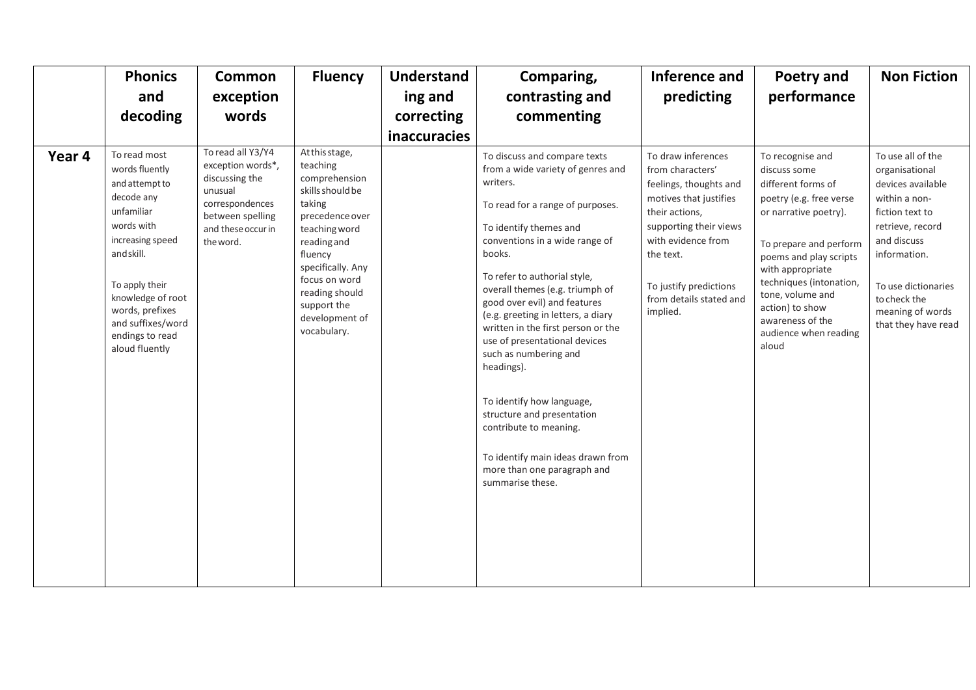|        | <b>Phonics</b><br>and<br>decoding                                                                                                                                                                                                                | <b>Common</b><br>exception<br>words                                                                                                           | <b>Fluency</b>                                                                                                                                                                                                                                  | <b>Understand</b><br>ing and<br>correcting<br><b>inaccuracies</b> | Comparing,<br>contrasting and<br>commenting                                                                                                                                                                                                                                                                                                                                                                                                                                                                                                                                                                                 | Inference and<br>predicting                                                                                                                                                                                                                | Poetry and<br>performance                                                                                                                                                                                                                                                                                  | <b>Non Fiction</b>                                                                                                                                                                                                                |
|--------|--------------------------------------------------------------------------------------------------------------------------------------------------------------------------------------------------------------------------------------------------|-----------------------------------------------------------------------------------------------------------------------------------------------|-------------------------------------------------------------------------------------------------------------------------------------------------------------------------------------------------------------------------------------------------|-------------------------------------------------------------------|-----------------------------------------------------------------------------------------------------------------------------------------------------------------------------------------------------------------------------------------------------------------------------------------------------------------------------------------------------------------------------------------------------------------------------------------------------------------------------------------------------------------------------------------------------------------------------------------------------------------------------|--------------------------------------------------------------------------------------------------------------------------------------------------------------------------------------------------------------------------------------------|------------------------------------------------------------------------------------------------------------------------------------------------------------------------------------------------------------------------------------------------------------------------------------------------------------|-----------------------------------------------------------------------------------------------------------------------------------------------------------------------------------------------------------------------------------|
| Year 4 | To read most<br>words fluently<br>and attempt to<br>decode any<br>unfamiliar<br>words with<br>increasing speed<br>and skill.<br>To apply their<br>knowledge of root<br>words, prefixes<br>and suffixes/word<br>endings to read<br>aloud fluently | To read all Y3/Y4<br>exception words*,<br>discussing the<br>unusual<br>correspondences<br>between spelling<br>and these occur in<br>the word. | At this stage,<br>teaching<br>comprehension<br>skills should be<br>taking<br>precedence over<br>teaching word<br>reading and<br>fluency<br>specifically. Any<br>focus on word<br>reading should<br>support the<br>development of<br>vocabulary. |                                                                   | To discuss and compare texts<br>from a wide variety of genres and<br>writers.<br>To read for a range of purposes.<br>To identify themes and<br>conventions in a wide range of<br>books.<br>To refer to authorial style,<br>overall themes (e.g. triumph of<br>good over evil) and features<br>(e.g. greeting in letters, a diary<br>written in the first person or the<br>use of presentational devices<br>such as numbering and<br>headings).<br>To identify how language,<br>structure and presentation<br>contribute to meaning.<br>To identify main ideas drawn from<br>more than one paragraph and<br>summarise these. | To draw inferences<br>from characters'<br>feelings, thoughts and<br>motives that justifies<br>their actions,<br>supporting their views<br>with evidence from<br>the text.<br>To justify predictions<br>from details stated and<br>implied. | To recognise and<br>discuss some<br>different forms of<br>poetry (e.g. free verse<br>or narrative poetry).<br>To prepare and perform<br>poems and play scripts<br>with appropriate<br>techniques (intonation,<br>tone, volume and<br>action) to show<br>awareness of the<br>audience when reading<br>aloud | To use all of the<br>organisational<br>devices available<br>within a non-<br>fiction text to<br>retrieve, record<br>and discuss<br>information.<br>To use dictionaries<br>to check the<br>meaning of words<br>that they have read |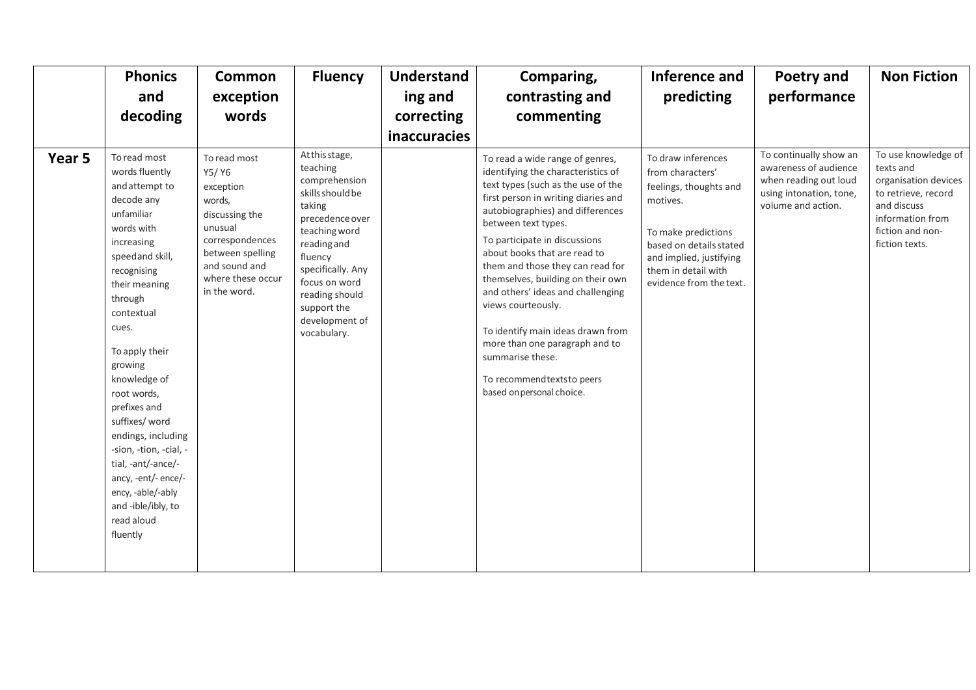|        | <b>Phonics</b>                                                                                                                                                                                                                                                                                                                                                                                                                                                 | Common                                                                                                                                                                 | <b>Fluency</b>                                                                                                                                                                                                                                  | <b>Understand</b>   | Comparing,                                                                                                                                                                                                                                                                                                                                                                                                                                                                                                                                                              | Inference and                                                                                                                                                                                               | Poetry and                                                                                                                | <b>Non Fiction</b>                                                                                                                                       |
|--------|----------------------------------------------------------------------------------------------------------------------------------------------------------------------------------------------------------------------------------------------------------------------------------------------------------------------------------------------------------------------------------------------------------------------------------------------------------------|------------------------------------------------------------------------------------------------------------------------------------------------------------------------|-------------------------------------------------------------------------------------------------------------------------------------------------------------------------------------------------------------------------------------------------|---------------------|-------------------------------------------------------------------------------------------------------------------------------------------------------------------------------------------------------------------------------------------------------------------------------------------------------------------------------------------------------------------------------------------------------------------------------------------------------------------------------------------------------------------------------------------------------------------------|-------------------------------------------------------------------------------------------------------------------------------------------------------------------------------------------------------------|---------------------------------------------------------------------------------------------------------------------------|----------------------------------------------------------------------------------------------------------------------------------------------------------|
|        | and                                                                                                                                                                                                                                                                                                                                                                                                                                                            | exception                                                                                                                                                              |                                                                                                                                                                                                                                                 | ing and             | contrasting and                                                                                                                                                                                                                                                                                                                                                                                                                                                                                                                                                         | predicting                                                                                                                                                                                                  | performance                                                                                                               |                                                                                                                                                          |
|        | decoding                                                                                                                                                                                                                                                                                                                                                                                                                                                       | words                                                                                                                                                                  |                                                                                                                                                                                                                                                 | correcting          | commenting                                                                                                                                                                                                                                                                                                                                                                                                                                                                                                                                                              |                                                                                                                                                                                                             |                                                                                                                           |                                                                                                                                                          |
|        |                                                                                                                                                                                                                                                                                                                                                                                                                                                                |                                                                                                                                                                        |                                                                                                                                                                                                                                                 | <b>inaccuracies</b> |                                                                                                                                                                                                                                                                                                                                                                                                                                                                                                                                                                         |                                                                                                                                                                                                             |                                                                                                                           |                                                                                                                                                          |
| Year 5 | To read most<br>words fluently<br>and attempt to<br>decode any<br>unfamiliar<br>words with<br>increasing<br>speed and skill,<br>recognising<br>their meaning<br>through<br>contextual<br>cues.<br>To apply their<br>growing<br>knowledge of<br>root words,<br>prefixes and<br>suffixes/ word<br>endings, including<br>-sion, -tion, -cial, -<br>tial, -ant/-ance/-<br>ancy, -ent/- ence/-<br>ency, -able/-ably<br>and -ible/ibly, to<br>read aloud<br>fluently | To read most<br>Y5/Y6<br>exception<br>words,<br>discussing the<br>unusual<br>correspondences<br>between spelling<br>and sound and<br>where these occur<br>in the word. | At this stage,<br>teaching<br>comprehension<br>skills should be<br>taking<br>precedence over<br>teaching word<br>reading and<br>fluency<br>specifically. Any<br>focus on word<br>reading should<br>support the<br>development of<br>vocabulary. |                     | To read a wide range of genres,<br>identifying the characteristics of<br>text types (such as the use of the<br>first person in writing diaries and<br>autobiographies) and differences<br>between text types.<br>To participate in discussions<br>about books that are read to<br>them and those they can read for<br>themselves, building on their own<br>and others' ideas and challenging<br>views courteously.<br>To identify main ideas drawn from<br>more than one paragraph and to<br>summarise these.<br>To recommendtextsto peers<br>based on personal choice. | To draw inferences<br>from characters'<br>feelings, thoughts and<br>motives.<br>To make predictions<br>based on details stated<br>and implied, justifying<br>them in detail with<br>evidence from the text. | To continually show an<br>awareness of audience<br>when reading out loud<br>using intonation, tone,<br>volume and action. | To use knowledge of<br>texts and<br>organisation devices<br>to retrieve, record<br>and discuss<br>information from<br>fiction and non-<br>fiction texts. |